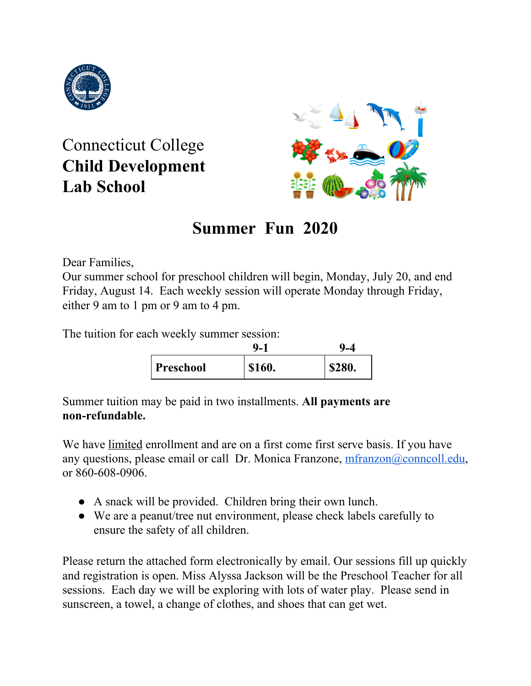

Connecticut College **Child Development Lab School**



# **Summer Fun 2020**

Dear Families,

Our summer school for preschool children will begin, Monday, July 20, and end Friday, August 14. Each weekly session will operate Monday through Friday, either 9 am to 1 pm or 9 am to 4 pm.

The tuition for each weekly summer session:

|           | Ψ.            | 4∟۱    |
|-----------|---------------|--------|
| Preschool | <b>\$160.</b> | \$280. |

Summer tuition may be paid in two installments. **All payments are non-refundable.**

We have limited enrollment and are on a first come first serve basis. If you have any questions, please email or call Dr. Monica Franzone, [mfranzon@conncoll.edu](mailto:mfranzon@conncoll.edu), or 860-608-0906.

- A snack will be provided. Children bring their own lunch.
- We are a peanut/tree nut environment, please check labels carefully to ensure the safety of all children.

Please return the attached form electronically by email. Our sessions fill up quickly and registration is open. Miss Alyssa Jackson will be the Preschool Teacher for all sessions. Each day we will be exploring with lots of water play. Please send in sunscreen, a towel, a change of clothes, and shoes that can get wet.